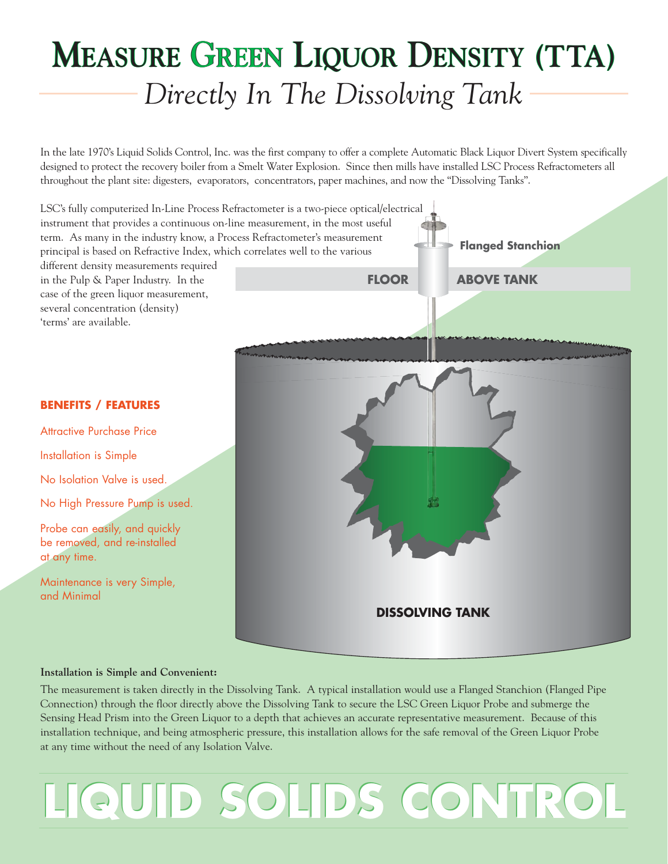### *Directly In The Dissolving Tank* **MEASURE GREEN LIQUOR DENSITY (TTA)**

In the late 1970's Liquid Solids Control, Inc. was the first company to offer a complete Automatic Black Liquor Divert System specifically designed to protect the recovery boiler from a Smelt Water Explosion. Since then mills have installed LSC Process Refractometers all throughout the plant site: digesters, evaporators, concentrators, paper machines, and now the "Dissolving Tanks".



#### **Installation is Simple and Convenient:**

The measurement is taken directly in the Dissolving Tank. A typical installation would use a Flanged Stanchion (Flanged Pipe Connection) through the floor directly above the Dissolving Tank to secure the LSC Green Liquor Probe and submerge the Sensing Head Prism into the Green Liquor to a depth that achieves an accurate representative measurement. Because of this installation technique, and being atmospheric pressure, this installation allows for the safe removal of the Green Liquor Probe at any time without the need of any Isolation Valve.

## **LIQUID SOLIDS CONTROL LIQUID SOLIDS CONTROL**